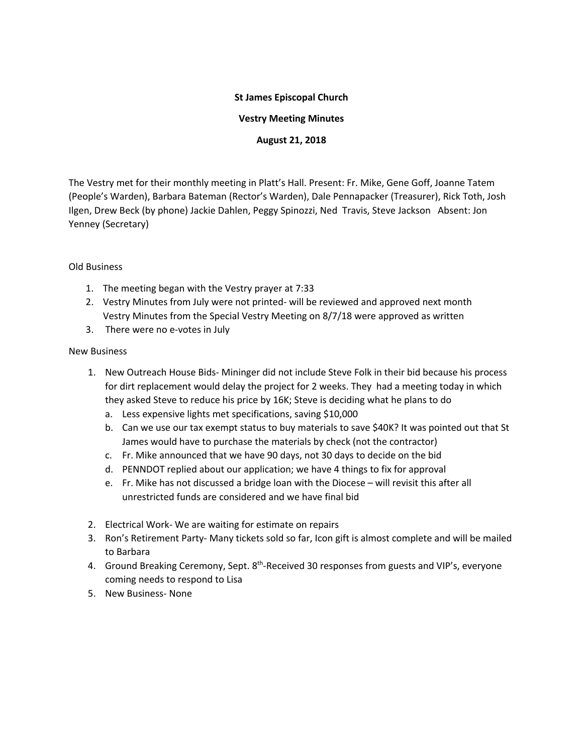## **St James Episcopal Church**

**Vestry Meeting Minutes**

**August 21, 2018**

The Vestry met for their monthly meeting in Platt's Hall. Present: Fr. Mike, Gene Goff, Joanne Tatem (People's Warden), Barbara Bateman (Rector's Warden), Dale Pennapacker (Treasurer), Rick Toth, Josh Ilgen, Drew Beck (by phone) Jackie Dahlen, Peggy Spinozzi, Ned Travis, Steve Jackson Absent: Jon Yenney (Secretary)

## Old Business

- 1. The meeting began with the Vestry prayer at 7:33
- 2. Vestry Minutes from July were not printed- will be reviewed and approved next month Vestry Minutes from the Special Vestry Meeting on 8/7/18 were approved as written
- 3. There were no e-votes in July

## New Business

- 1. New Outreach House Bids- Mininger did not include Steve Folk in their bid because his process for dirt replacement would delay the project for 2 weeks. They had a meeting today in which they asked Steve to reduce his price by 16K; Steve is deciding what he plans to do
	- a. Less expensive lights met specifications, saving \$10,000
	- b. Can we use our tax exempt status to buy materials to save \$40K? It was pointed out that St James would have to purchase the materials by check (not the contractor)
	- c. Fr. Mike announced that we have 90 days, not 30 days to decide on the bid
	- d. PENNDOT replied about our application; we have 4 things to fix for approval
	- e. Fr. Mike has not discussed a bridge loan with the Diocese will revisit this after all unrestricted funds are considered and we have final bid
- 2. Electrical Work- We are waiting for estimate on repairs
- 3. Ron's Retirement Party- Many tickets sold so far, Icon gift is almost complete and will be mailed to Barbara
- 4. Ground Breaking Ceremony, Sept. 8<sup>th</sup>-Received 30 responses from guests and VIP's, everyone coming needs to respond to Lisa
- 5. New Business- None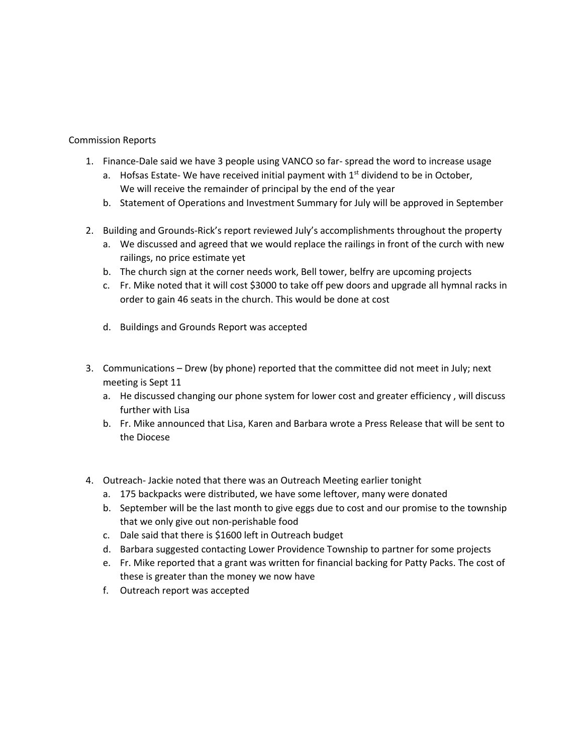## Commission Reports

- 1. Finance-Dale said we have 3 people using VANCO so far- spread the word to increase usage
	- a. Hofsas Estate- We have received initial payment with  $1<sup>st</sup>$  dividend to be in October, We will receive the remainder of principal by the end of the year
	- b. Statement of Operations and Investment Summary for July will be approved in September
- 2. Building and Grounds-Rick's report reviewed July's accomplishments throughout the property
	- a. We discussed and agreed that we would replace the railings in front of the curch with new railings, no price estimate yet
	- b. The church sign at the corner needs work, Bell tower, belfry are upcoming projects
	- c. Fr. Mike noted that it will cost \$3000 to take off pew doors and upgrade all hymnal racks in order to gain 46 seats in the church. This would be done at cost
	- d. Buildings and Grounds Report was accepted
- 3. Communications Drew (by phone) reported that the committee did not meet in July; next meeting is Sept 11
	- a. He discussed changing our phone system for lower cost and greater efficiency , will discuss further with Lisa
	- b. Fr. Mike announced that Lisa, Karen and Barbara wrote a Press Release that will be sent to the Diocese
- 4. Outreach- Jackie noted that there was an Outreach Meeting earlier tonight
	- a. 175 backpacks were distributed, we have some leftover, many were donated
	- b. September will be the last month to give eggs due to cost and our promise to the township that we only give out non-perishable food
	- c. Dale said that there is \$1600 left in Outreach budget
	- d. Barbara suggested contacting Lower Providence Township to partner for some projects
	- e. Fr. Mike reported that a grant was written for financial backing for Patty Packs. The cost of these is greater than the money we now have
	- f. Outreach report was accepted